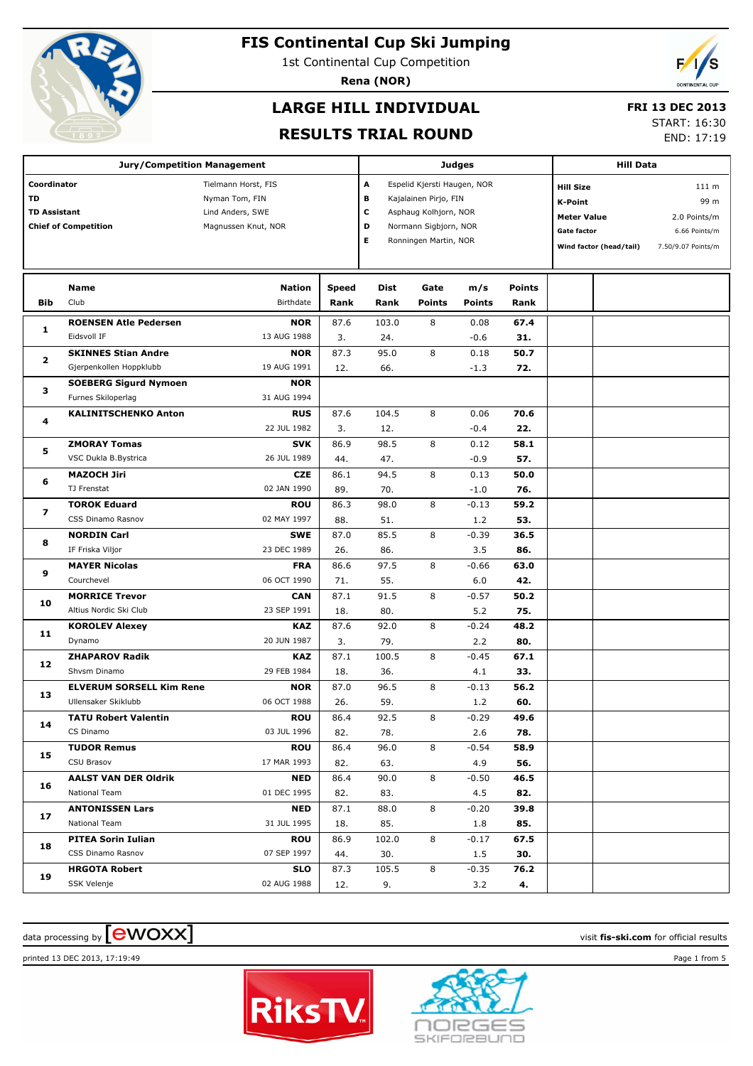

1st Continental Cup Competition

**Rena (NOR)**

# **LARGE HILL INDIVIDUAL**

#### **FRI 13 DEC 2013**

#### **RESULTS TRIAL ROUND**

START: 16:30

END: 17:19

|                                                                         | <b>Jury/Competition Management</b> |                                                                                  |               | Judges       |                                                                                                                                                          | <b>Hill Data</b>     |                |                                                                                |                         |                                                                                 |  |
|-------------------------------------------------------------------------|------------------------------------|----------------------------------------------------------------------------------|---------------|--------------|----------------------------------------------------------------------------------------------------------------------------------------------------------|----------------------|----------------|--------------------------------------------------------------------------------|-------------------------|---------------------------------------------------------------------------------|--|
| Coordinator<br>TD<br><b>TD Assistant</b><br><b>Chief of Competition</b> |                                    | Tielmann Horst, FIS<br>Nyman Tom, FIN<br>Lind Anders, SWE<br>Magnussen Knut, NOR |               |              | A<br>Espelid Kjersti Haugen, NOR<br>в<br>Kajalainen Pirjo, FIN<br>c<br>Asphaug Kolhjorn, NOR<br>D<br>Normann Sigbjorn, NOR<br>Е<br>Ronningen Martin, NOR |                      |                | <b>Hill Size</b><br><b>K-Point</b><br><b>Meter Value</b><br><b>Gate factor</b> | Wind factor (head/tail) | 111 <sub>m</sub><br>99 m<br>2.0 Points/m<br>6.66 Points/m<br>7.50/9.07 Points/m |  |
| Bib                                                                     | Name<br>Club                       | <b>Nation</b><br>Birthdate                                                       | Speed<br>Rank | Dist<br>Rank | Gate<br><b>Points</b>                                                                                                                                    | m/s<br><b>Points</b> | Points<br>Rank |                                                                                |                         |                                                                                 |  |
| 1                                                                       | <b>ROENSEN Atle Pedersen</b>       | <b>NOR</b>                                                                       | 87.6          | 103.0        | 8                                                                                                                                                        | 0.08                 | 67.4           |                                                                                |                         |                                                                                 |  |
|                                                                         | Eidsvoll IF                        | 13 AUG 1988                                                                      | 3.            | 24.          |                                                                                                                                                          | $-0.6$               | 31.            |                                                                                |                         |                                                                                 |  |
| $\mathbf{z}$                                                            | <b>SKINNES Stian Andre</b>         | <b>NOR</b>                                                                       | 87.3          | 95.0         | 8                                                                                                                                                        | 0.18                 | 50.7           |                                                                                |                         |                                                                                 |  |
|                                                                         | Gjerpenkollen Hoppklubb            | 19 AUG 1991                                                                      | 12.           | 66.          |                                                                                                                                                          | $-1.3$               | 72.            |                                                                                |                         |                                                                                 |  |
| з                                                                       | <b>SOEBERG Sigurd Nymoen</b>       | <b>NOR</b>                                                                       |               |              |                                                                                                                                                          |                      |                |                                                                                |                         |                                                                                 |  |
|                                                                         | Furnes Skiloperlag                 | 31 AUG 1994                                                                      |               |              |                                                                                                                                                          |                      |                |                                                                                |                         |                                                                                 |  |
| 4                                                                       | <b>KALINITSCHENKO Anton</b>        | <b>RUS</b>                                                                       | 87.6          | 104.5        | 8                                                                                                                                                        | 0.06                 | 70.6           |                                                                                |                         |                                                                                 |  |
|                                                                         |                                    | 22 JUL 1982                                                                      | 3.            | 12.          |                                                                                                                                                          | $-0.4$               | 22.            |                                                                                |                         |                                                                                 |  |
| 5                                                                       | <b>ZMORAY Tomas</b>                | <b>SVK</b>                                                                       | 86.9          | 98.5         | 8                                                                                                                                                        | 0.12                 | 58.1           |                                                                                |                         |                                                                                 |  |
|                                                                         | VSC Dukla B.Bystrica               | 26 JUL 1989                                                                      | 44.           | 47.          |                                                                                                                                                          | $-0.9$               | 57.            |                                                                                |                         |                                                                                 |  |
| 6                                                                       | <b>MAZOCH Jiri</b>                 | <b>CZE</b>                                                                       | 86.1          | 94.5         | 8                                                                                                                                                        | 0.13                 | 50.0           |                                                                                |                         |                                                                                 |  |
|                                                                         | TJ Frenstat                        | 02 JAN 1990                                                                      | 89.           | 70.          |                                                                                                                                                          | $-1.0$               | 76.            |                                                                                |                         |                                                                                 |  |
| 7                                                                       | <b>TOROK Eduard</b>                | <b>ROU</b>                                                                       | 86.3          | 98.0         | 8                                                                                                                                                        | $-0.13$              | 59.2           |                                                                                |                         |                                                                                 |  |
|                                                                         | CSS Dinamo Rasnov                  | 02 MAY 1997                                                                      | 88.           | 51.          |                                                                                                                                                          | 1.2                  | 53.            |                                                                                |                         |                                                                                 |  |
| 8                                                                       | <b>NORDIN Carl</b>                 | <b>SWE</b>                                                                       | 87.0          | 85.5         | 8                                                                                                                                                        | $-0.39$              | 36.5           |                                                                                |                         |                                                                                 |  |
|                                                                         | IF Friska Viljor                   | 23 DEC 1989                                                                      | 26.           | 86.          |                                                                                                                                                          | 3.5                  | 86.            |                                                                                |                         |                                                                                 |  |
| 9                                                                       | <b>MAYER Nicolas</b>               | <b>FRA</b>                                                                       | 86.6          | 97.5         | 8                                                                                                                                                        | $-0.66$              | 63.0           |                                                                                |                         |                                                                                 |  |
|                                                                         | Courchevel                         | 06 OCT 1990                                                                      | 71.           | 55.          |                                                                                                                                                          | 6.0                  | 42.            |                                                                                |                         |                                                                                 |  |
| 10                                                                      | <b>MORRICE Trevor</b>              | <b>CAN</b>                                                                       | 87.1          | 91.5         | 8                                                                                                                                                        | $-0.57$              | 50.2           |                                                                                |                         |                                                                                 |  |
|                                                                         | Altius Nordic Ski Club             | 23 SEP 1991                                                                      | 18.           | 80.          |                                                                                                                                                          | 5.2                  | 75.            |                                                                                |                         |                                                                                 |  |
| 11                                                                      | <b>KOROLEV Alexey</b>              | <b>KAZ</b>                                                                       | 87.6          | 92.0         | 8                                                                                                                                                        | $-0.24$              | 48.2           |                                                                                |                         |                                                                                 |  |
|                                                                         | Dynamo                             | 20 JUN 1987                                                                      | 3.            | 79.          |                                                                                                                                                          | 2.2                  | 80.            |                                                                                |                         |                                                                                 |  |
| 12                                                                      | <b>ZHAPAROV Radik</b>              | <b>KAZ</b>                                                                       | 87.1          | 100.5        | 8                                                                                                                                                        | $-0.45$              | 67.1           |                                                                                |                         |                                                                                 |  |
|                                                                         | Shvsm Dinamo                       | 29 FEB 1984                                                                      | 18.           | 36.          |                                                                                                                                                          | 4.1                  | 33.            |                                                                                |                         |                                                                                 |  |
| 13                                                                      | <b>ELVERUM SORSELL Kim Rene</b>    | <b>NOR</b>                                                                       | 87.0          | 96.5         | 8                                                                                                                                                        | $-0.13$              | 56.2           |                                                                                |                         |                                                                                 |  |
|                                                                         | Ullensaker Skiklubb                | 06 OCT 1988                                                                      | 26.           | 59.          |                                                                                                                                                          | 1.2                  | 60.            |                                                                                |                         |                                                                                 |  |
| 14                                                                      | <b>TATU Robert Valentin</b>        | ROU                                                                              | 86.4          | 92.5         | 8                                                                                                                                                        | $-0.29$              | 49.6           |                                                                                |                         |                                                                                 |  |
|                                                                         | CS Dinamo                          | 03 JUL 1996                                                                      | 82.           | 78.          |                                                                                                                                                          | 2.6                  | 78.            |                                                                                |                         |                                                                                 |  |
| 15                                                                      | <b>TUDOR Remus</b>                 | <b>ROU</b>                                                                       | 86.4          | 96.0         | 8                                                                                                                                                        | $-0.54$              | 58.9           |                                                                                |                         |                                                                                 |  |
|                                                                         | CSU Brasov                         | 17 MAR 1993                                                                      | 82.           | 63.          |                                                                                                                                                          | 4.9                  | 56.            |                                                                                |                         |                                                                                 |  |
| 16                                                                      | <b>AALST VAN DER Oldrik</b>        | <b>NED</b>                                                                       | 86.4          | 90.0         | 8                                                                                                                                                        | $-0.50$              | 46.5           |                                                                                |                         |                                                                                 |  |
|                                                                         | National Team                      | 01 DEC 1995                                                                      | 82.           | 83.          |                                                                                                                                                          | 4.5                  | 82.            |                                                                                |                         |                                                                                 |  |
| 17                                                                      | <b>ANTONISSEN Lars</b>             | <b>NED</b>                                                                       | 87.1          | 88.0         | 8                                                                                                                                                        | $-0.20$              | 39.8           |                                                                                |                         |                                                                                 |  |
|                                                                         | National Team                      | 31 JUL 1995                                                                      | 18.           | 85.          |                                                                                                                                                          | 1.8                  | 85.            |                                                                                |                         |                                                                                 |  |
| 18                                                                      | <b>PITEA Sorin Iulian</b>          | <b>ROU</b>                                                                       | 86.9          | 102.0        | 8                                                                                                                                                        | $-0.17$              | 67.5           |                                                                                |                         |                                                                                 |  |
|                                                                         | CSS Dinamo Rasnov                  | 07 SEP 1997                                                                      | 44.           | 30.          |                                                                                                                                                          | 1.5                  | 30.            |                                                                                |                         |                                                                                 |  |
| 19                                                                      | <b>HRGOTA Robert</b>               | <b>SLO</b>                                                                       | 87.3          | 105.5        | 8                                                                                                                                                        | $-0.35$              | 76.2           |                                                                                |                         |                                                                                 |  |
|                                                                         | SSK Velenje                        | 02 AUG 1988                                                                      | 12.           | 9.           |                                                                                                                                                          | 3.2                  | 4.             |                                                                                |                         |                                                                                 |  |

# data processing by **CWOXX**  $\blacksquare$

printed 13 DEC 2013, 17:19:49 Page 1 from 5



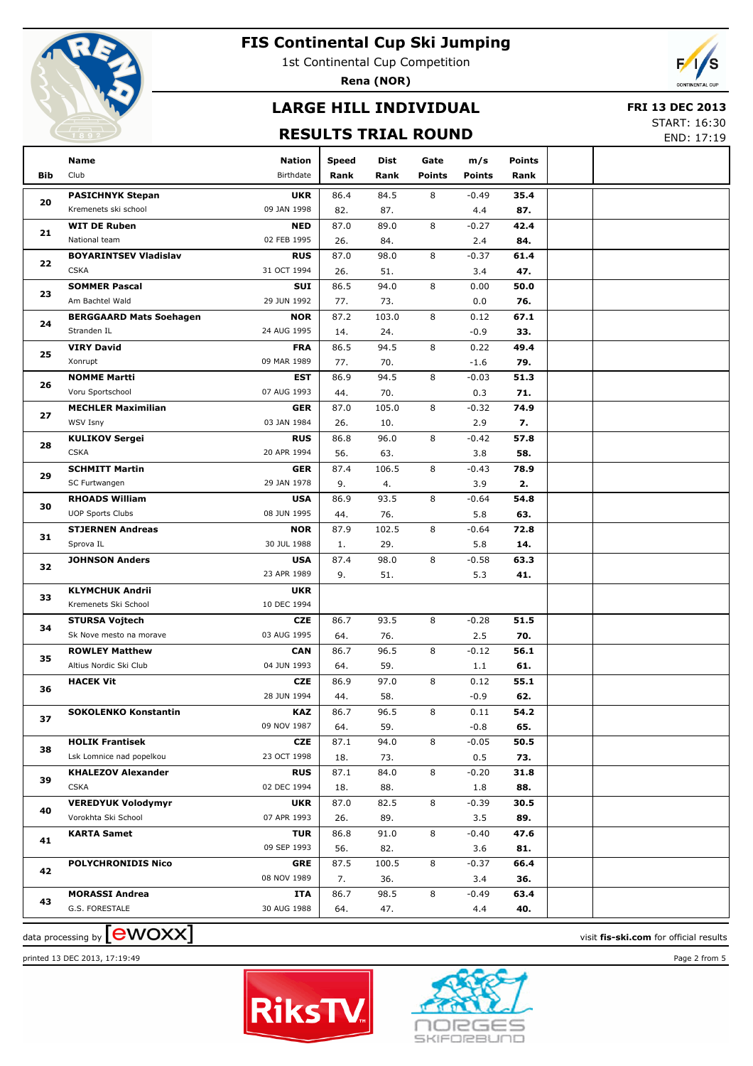

1st Continental Cup Competition

**Rena (NOR)**

# **LARGE HILL INDIVIDUAL**

#### **FRI 13 DEC 2013**

### **RESULTS TRIAL ROUND**

START: 16:30 END: 17:19

|     | Name                                   | <b>Nation</b>             | <b>Speed</b> | Dist         | Gate          | m/s            | <b>Points</b> |                                        |
|-----|----------------------------------------|---------------------------|--------------|--------------|---------------|----------------|---------------|----------------------------------------|
| Bib | Club                                   | Birthdate                 | Rank         | Rank         | <b>Points</b> | <b>Points</b>  | Rank          |                                        |
|     | <b>PASICHNYK Stepan</b>                | <b>UKR</b>                | 86.4         | 84.5         | 8             | $-0.49$        | 35.4          |                                        |
| 20  | Kremenets ski school                   | 09 JAN 1998               | 82.          | 87.          |               | 4.4            | 87.           |                                        |
| 21  | <b>WIT DE Ruben</b>                    | NED                       | 87.0         | 89.0         | 8             | $-0.27$        | 42.4          |                                        |
|     | National team                          | 02 FEB 1995               | 26.          | 84.          |               | 2.4            | 84.           |                                        |
| 22  | <b>BOYARINTSEV Vladislav</b>           | <b>RUS</b>                | 87.0         | 98.0         | 8             | $-0.37$        | 61.4          |                                        |
|     | <b>CSKA</b>                            | 31 OCT 1994               | 26.          | 51.          |               | 3.4            | 47.           |                                        |
| 23  | <b>SOMMER Pascal</b>                   | SUI                       | 86.5         | 94.0         | 8             | 0.00           | 50.0          |                                        |
|     | Am Bachtel Wald                        | 29 JUN 1992               | 77.          | 73.          |               | 0.0            | 76.           |                                        |
| 24  | <b>BERGGAARD Mats Soehagen</b>         | <b>NOR</b>                | 87.2         | 103.0        | 8             | 0.12           | 67.1          |                                        |
|     | Stranden IL                            | 24 AUG 1995               | 14.          | 24.          |               | $-0.9$         | 33.           |                                        |
| 25  | <b>VIRY David</b>                      | <b>FRA</b>                | 86.5         | 94.5         | 8             | 0.22           | 49.4          |                                        |
|     | Xonrupt                                | 09 MAR 1989               | 77.          | 70.          |               | $-1.6$         | 79.           |                                        |
| 26  | <b>NOMME Martti</b>                    | EST                       | 86.9         | 94.5         | 8             | $-0.03$        | 51.3          |                                        |
|     | Voru Sportschool                       | 07 AUG 1993               | 44.          | 70.          |               | 0.3            | 71.           |                                        |
| 27  | <b>MECHLER Maximilian</b>              | <b>GER</b>                | 87.0         | 105.0        | 8             | $-0.32$        | 74.9          |                                        |
|     | WSV Isny                               | 03 JAN 1984               | 26.          | 10.          |               | 2.9            | 7.            |                                        |
| 28  | <b>KULIKOV Sergei</b>                  | <b>RUS</b>                | 86.8         | 96.0         | 8             | $-0.42$        | 57.8          |                                        |
|     | <b>CSKA</b>                            | 20 APR 1994               | 56.          | 63.          |               | 3.8            | 58.           |                                        |
| 29  | <b>SCHMITT Martin</b>                  | <b>GER</b><br>29 JAN 1978 | 87.4         | 106.5        | 8             | $-0.43$        | 78.9          |                                        |
|     | SC Furtwangen<br><b>RHOADS William</b> |                           | 9.           | 4.           | 8             | 3.9            | 2.            |                                        |
| 30  | <b>UOP Sports Clubs</b>                | <b>USA</b><br>08 JUN 1995 | 86.9         | 93.5         |               | $-0.64$        | 54.8          |                                        |
|     |                                        | <b>NOR</b>                | 44.<br>87.9  | 76.<br>102.5 | 8             | 5.8            | 63.<br>72.8   |                                        |
| 31  | <b>STJERNEN Andreas</b><br>Sprova IL   | 30 JUL 1988               | 1.           | 29.          |               | $-0.64$<br>5.8 | 14.           |                                        |
|     | <b>JOHNSON Anders</b>                  | <b>USA</b>                | 87.4         | 98.0         | 8             | $-0.58$        | 63.3          |                                        |
| 32  |                                        | 23 APR 1989               | 9.           | 51.          |               | 5.3            | 41.           |                                        |
|     | <b>KLYMCHUK Andrii</b>                 | <b>UKR</b>                |              |              |               |                |               |                                        |
| 33  | Kremenets Ski School                   | 10 DEC 1994               |              |              |               |                |               |                                        |
|     | <b>STURSA Vojtech</b>                  | <b>CZE</b>                | 86.7         | 93.5         | 8             | $-0.28$        | 51.5          |                                        |
| 34  | Sk Nove mesto na morave                | 03 AUG 1995               | 64.          | 76.          |               | 2.5            | 70.           |                                        |
|     | <b>ROWLEY Matthew</b>                  | <b>CAN</b>                | 86.7         | 96.5         | 8             | $-0.12$        | 56.1          |                                        |
| 35  | Altius Nordic Ski Club                 | 04 JUN 1993               | 64.          | 59.          |               | 1.1            | 61.           |                                        |
|     | <b>HACEK Vit</b>                       | <b>CZE</b>                | 86.9         | 97.0         | 8             | 0.12           | 55.1          |                                        |
| 36  |                                        | 28 JUN 1994               | 44.          | 58.          |               | $-0.9$         | 62.           |                                        |
|     | <b>SOKOLENKO Konstantin</b>            | <b>KAZ</b>                | 86.7         | 96.5         | 8             | 0.11           | 54.2          |                                        |
| 37  |                                        | 09 NOV 1987               | 64.          | 59.          |               | $-0.8$         | 65.           |                                        |
| 38  | <b>HOLIK Frantisek</b>                 | <b>CZE</b>                | 87.1         | 94.0         | 8             | $-0.05$        | 50.5          |                                        |
|     | Lsk Lomnice nad popelkou               | 23 OCT 1998               | 18.          | 73.          |               | 0.5            | 73.           |                                        |
| 39  | <b>KHALEZOV Alexander</b>              | <b>RUS</b>                | 87.1         | 84.0         | 8             | $-0.20$        | 31.8          |                                        |
|     | <b>CSKA</b>                            | 02 DEC 1994               | 18.          | 88.          |               | 1.8            | 88.           |                                        |
| 40  | <b>VEREDYUK Volodymyr</b>              | <b>UKR</b>                | 87.0         | 82.5         | 8             | $-0.39$        | 30.5          |                                        |
|     | Vorokhta Ski School                    | 07 APR 1993               | 26.          | 89.          |               | 3.5            | 89.           |                                        |
| 41  | <b>KARTA Samet</b>                     | <b>TUR</b>                | 86.8         | 91.0         | 8             | $-0.40$        | 47.6          |                                        |
|     |                                        | 09 SEP 1993               | 56.          | 82.          |               | 3.6            | 81.           |                                        |
| 42  | <b>POLYCHRONIDIS Nico</b>              | <b>GRE</b>                | 87.5         | 100.5        | 8             | $-0.37$        | 66.4          |                                        |
|     |                                        | 08 NOV 1989               | 7.           | 36.          |               | 3.4            | 36.           |                                        |
| 43  | <b>MORASSI Andrea</b>                  | <b>ITA</b>                | 86.7         | 98.5         | 8             | $-0.49$        | 63.4          |                                        |
|     | G.S. FORESTALE                         | 30 AUG 1988               | 64.          | 47.          |               | 4.4            | 40.           |                                        |
|     | data processing by <b>[CWOXX]</b>      |                           |              |              |               |                |               | visit fis-ski.com for official results |





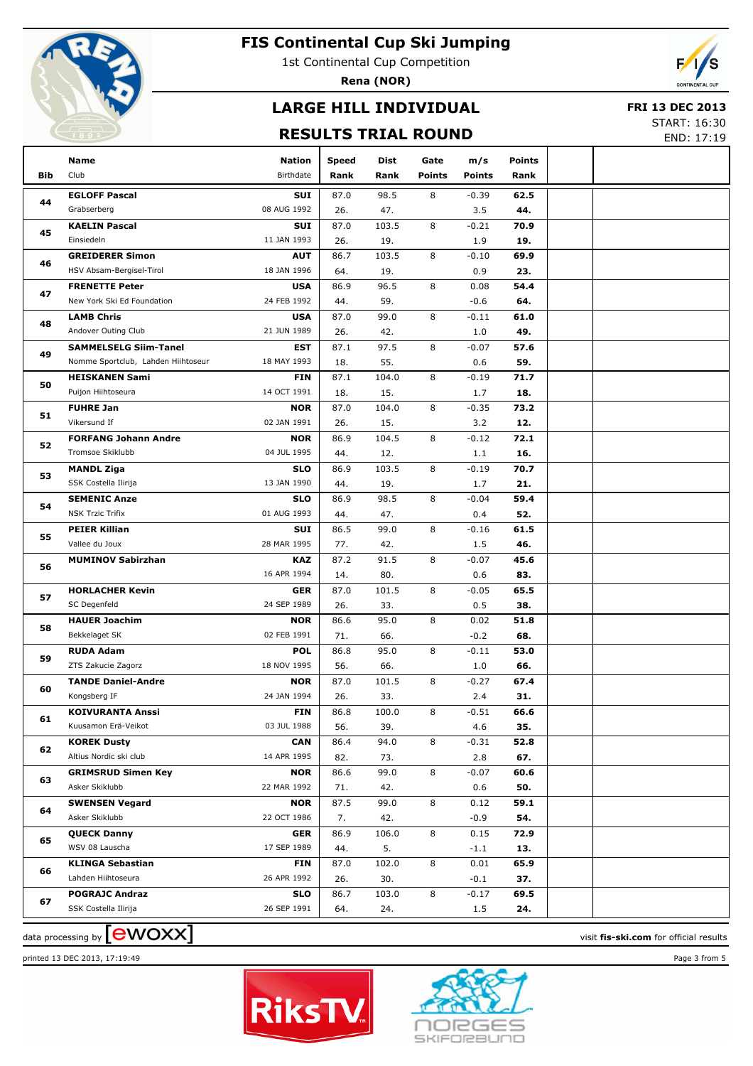

1st Continental Cup Competition

**Rena (NOR)**

# **LARGE HILL INDIVIDUAL**

#### **FRI 13 DEC 2013**

### **RESULTS TRIAL ROUND**

START: 16:30 END: 17:19

|            | Name                                         | Nation                    | <b>Speed</b> | Dist        | Gate          | m/s            | <b>Points</b> |  |
|------------|----------------------------------------------|---------------------------|--------------|-------------|---------------|----------------|---------------|--|
| <b>Bib</b> | Club                                         | Birthdate                 | Rank         | Rank        | <b>Points</b> | <b>Points</b>  | Rank          |  |
|            | <b>EGLOFF Pascal</b>                         | SUI                       | 87.0         | 98.5        | 8             | $-0.39$        | 62.5          |  |
| 44         | Grabserberg                                  | 08 AUG 1992               | 26.          | 47.         |               | 3.5            | 44.           |  |
|            | <b>KAELIN Pascal</b>                         | <b>SUI</b>                | 87.0         | 103.5       | 8             | $-0.21$        | 70.9          |  |
| 45         | Einsiedeln                                   | 11 JAN 1993               | 26.          | 19.         |               | 1.9            | 19.           |  |
|            | <b>GREIDERER Simon</b>                       | <b>AUT</b>                | 86.7         | 103.5       | 8             | $-0.10$        | 69.9          |  |
| 46         | HSV Absam-Bergisel-Tirol                     | 18 JAN 1996               | 64.          | 19.         |               | 0.9            | 23.           |  |
|            | <b>FRENETTE Peter</b>                        | <b>USA</b>                | 86.9         | 96.5        | 8             | 0.08           | 54.4          |  |
| 47         | New York Ski Ed Foundation                   | 24 FEB 1992               | 44.          | 59.         |               | $-0.6$         | 64.           |  |
| 48         | <b>LAMB Chris</b>                            | <b>USA</b>                | 87.0         | 99.0        | 8             | $-0.11$        | 61.0          |  |
|            | Andover Outing Club                          | 21 JUN 1989               | 26.          | 42.         |               | 1.0            | 49.           |  |
| 49         | <b>SAMMELSELG Siim-Tanel</b>                 | <b>EST</b>                | 87.1         | 97.5        | 8             | $-0.07$        | 57.6          |  |
|            | Nomme Sportclub, Lahden Hiihtoseur           | 18 MAY 1993               | 18.          | 55.         |               | 0.6            | 59.           |  |
| 50         | <b>HEISKANEN Sami</b>                        | <b>FIN</b>                | 87.1         | 104.0       | 8             | $-0.19$        | 71.7          |  |
|            | Puijon Hiihtoseura                           | 14 OCT 1991               | 18.          | 15.         |               | 1.7            | 18.           |  |
| 51         | <b>FUHRE Jan</b>                             | <b>NOR</b>                | 87.0         | 104.0       | 8             | $-0.35$        | 73.2          |  |
|            | Vikersund If                                 | 02 JAN 1991               | 26.          | 15.         |               | 3.2            | 12.           |  |
| 52         | <b>FORFANG Johann Andre</b>                  | <b>NOR</b>                | 86.9         | 104.5       | 8             | $-0.12$        | 72.1          |  |
|            | Tromsoe Skiklubb                             | 04 JUL 1995               | 44.          | 12.         |               | 1.1            | 16.           |  |
| 53         | <b>MANDL Ziga</b>                            | <b>SLO</b>                | 86.9         | 103.5       | 8             | $-0.19$        | 70.7          |  |
|            | SSK Costella Ilirija                         | 13 JAN 1990               | 44.          | 19.         |               | 1.7            | 21.           |  |
| 54         | <b>SEMENIC Anze</b>                          | <b>SLO</b>                | 86.9         | 98.5        | 8             | $-0.04$        | 59.4          |  |
|            | <b>NSK Trzic Trifix</b>                      | 01 AUG 1993               | 44.          | 47.         |               | 0.4            | 52.           |  |
| 55         | <b>PEIER Killian</b>                         | SUI                       | 86.5         | 99.0        | 8             | $-0.16$        | 61.5          |  |
|            | Vallee du Joux                               | 28 MAR 1995               | 77.          | 42.         |               | 1.5            | 46.           |  |
| 56         | <b>MUMINOV Sabirzhan</b>                     | <b>KAZ</b>                | 87.2         | 91.5        | 8             | $-0.07$        | 45.6          |  |
|            |                                              | 16 APR 1994               | 14.          | 80.         |               | 0.6            | 83.           |  |
| 57         | <b>HORLACHER Kevin</b>                       | <b>GER</b>                | 87.0         | 101.5       | 8             | $-0.05$        | 65.5          |  |
|            | SC Degenfeld                                 | 24 SEP 1989               | 26.          | 33.         |               | 0.5            | 38.           |  |
| 58         | <b>HAUER Joachim</b>                         | <b>NOR</b>                | 86.6         | 95.0        | 8             | 0.02           | 51.8          |  |
|            | Bekkelaget SK                                | 02 FEB 1991               | 71.          | 66.         |               | $-0.2$         | 68.           |  |
| 59         | <b>RUDA Adam</b>                             | <b>POL</b>                | 86.8         | 95.0        | 8             | $-0.11$        | 53.0          |  |
|            | ZTS Zakucie Zagorz                           | 18 NOV 1995               | 56.          | 66.         |               | 1.0            | 66.           |  |
| 60         | <b>TANDE Daniel-Andre</b>                    | <b>NOR</b>                | 87.0         | 101.5       | 8             | $-0.27$        | 67.4          |  |
|            | Kongsberg IF                                 | 24 JAN 1994               | 26.          | 33.         |               | 2.4            | 31.           |  |
| 61         | <b>KOIVURANTA Anssi</b>                      | <b>FIN</b>                | 86.8         | 100.0       | 8             | $-0.51$        | 66.6          |  |
|            | Kuusamon Erä-Veikot                          | 03 JUL 1988               | 56.          | 39.         |               | 4.6            | 35.           |  |
| 62         | <b>KOREK Dusty</b><br>Altius Nordic ski club | <b>CAN</b><br>14 APR 1995 | 86.4<br>82.  | 94.0<br>73. | 8             | $-0.31$<br>2.8 | 52.8<br>67.   |  |
|            | <b>GRIMSRUD Simen Key</b>                    | <b>NOR</b>                | 86.6         | 99.0        | 8             | $-0.07$        | 60.6          |  |
| 63         | Asker Skiklubb                               | 22 MAR 1992               | 71.          | 42.         |               | 0.6            | 50.           |  |
|            | <b>SWENSEN Vegard</b>                        | <b>NOR</b>                | 87.5         | 99.0        | 8             | 0.12           | 59.1          |  |
| 64         | Asker Skiklubb                               | 22 OCT 1986               | 7.           | 42.         |               | $-0.9$         | 54.           |  |
|            | <b>QUECK Danny</b>                           | <b>GER</b>                | 86.9         | 106.0       | 8             | 0.15           | 72.9          |  |
| 65         | WSV 08 Lauscha                               | 17 SEP 1989               | 44.          | 5.          |               | $-1.1$         | 13.           |  |
|            | <b>KLINGA Sebastian</b>                      | <b>FIN</b>                | 87.0         | 102.0       | 8             | 0.01           | 65.9          |  |
| 66         | Lahden Hiihtoseura                           | 26 APR 1992               | 26.          | 30.         |               | $-0.1$         | 37.           |  |
|            | <b>POGRAJC Andraz</b>                        | <b>SLO</b>                | 86.7         | 103.0       | 8             | $-0.17$        | 69.5          |  |
| 67         | SSK Costella Ilirija                         | 26 SEP 1991               | 64.          | 24.         |               | 1.5            | 24.           |  |
|            |                                              |                           |              |             |               |                |               |  |





data processing by **CWOXX** and  $\overline{A}$  and  $\overline{B}$  and  $\overline{B}$  and  $\overline{B}$  and  $\overline{B}$  and  $\overline{B}$  results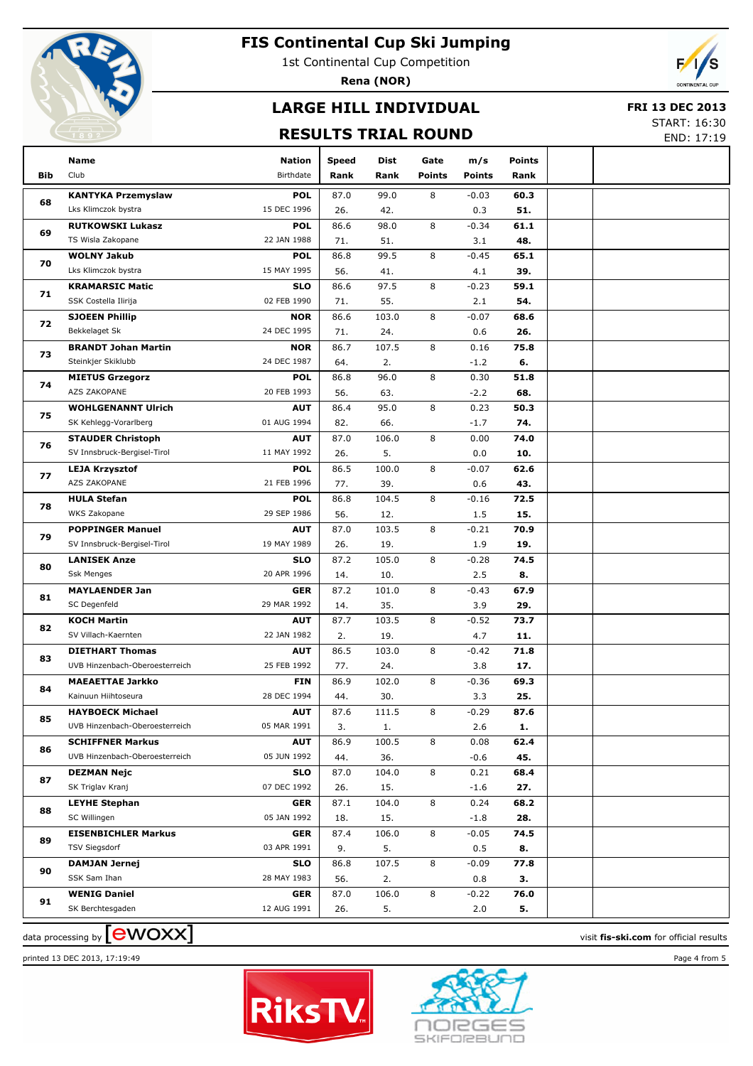

1st Continental Cup Competition

**Rena (NOR)**

# **LARGE HILL INDIVIDUAL**

#### **FRI 13 DEC 2013**

### **RESULTS TRIAL ROUND**

START: 16:30 END: 17:19

|            | Name                                                      | <b>Nation</b>             | <b>Speed</b> | Dist         | Gate          | m/s            | <b>Points</b> |  |
|------------|-----------------------------------------------------------|---------------------------|--------------|--------------|---------------|----------------|---------------|--|
| <b>Bib</b> | Club                                                      | Birthdate                 | Rank         | Rank         | <b>Points</b> | <b>Points</b>  | Rank          |  |
|            | <b>KANTYKA Przemyslaw</b>                                 | <b>POL</b>                | 87.0         | 99.0         | 8             | $-0.03$        | 60.3          |  |
| 68         | Lks Klimczok bystra                                       | 15 DEC 1996               | 26.          | 42.          |               | 0.3            | 51.           |  |
|            | <b>RUTKOWSKI Lukasz</b>                                   | <b>POL</b>                | 86.6         | 98.0         | 8             | $-0.34$        | 61.1          |  |
| 69         | TS Wisla Zakopane                                         | 22 JAN 1988               | 71.          | 51.          |               | 3.1            | 48.           |  |
|            | <b>WOLNY Jakub</b>                                        | <b>POL</b>                | 86.8         | 99.5         | 8             | $-0.45$        | 65.1          |  |
| 70         | Lks Klimczok bystra                                       | 15 MAY 1995               | 56.          | 41.          |               | 4.1            | 39.           |  |
|            | <b>KRAMARSIC Matic</b>                                    | <b>SLO</b>                | 86.6         | 97.5         | 8             | $-0.23$        | 59.1          |  |
| 71         | SSK Costella Ilirija                                      | 02 FEB 1990               | 71.          | 55.          |               | 2.1            | 54.           |  |
| 72         | <b>SJOEEN Phillip</b>                                     | <b>NOR</b>                | 86.6         | 103.0        | 8             | $-0.07$        | 68.6          |  |
|            | Bekkelaget Sk                                             | 24 DEC 1995               | 71.          | 24.          |               | 0.6            | 26.           |  |
| 73         | <b>BRANDT Johan Martin</b>                                | <b>NOR</b>                | 86.7         | 107.5        | 8             | 0.16           | 75.8          |  |
|            | Steinkjer Skiklubb                                        | 24 DEC 1987               | 64.          | 2.           |               | $-1.2$         | 6.            |  |
| 74         | <b>MIETUS Grzegorz</b>                                    | <b>POL</b>                | 86.8         | 96.0         | 8             | 0.30           | 51.8          |  |
|            | AZS ZAKOPANE                                              | 20 FEB 1993               | 56.          | 63.          |               | $-2.2$         | 68.           |  |
| 75         | <b>WOHLGENANNT Ulrich</b>                                 | <b>AUT</b>                | 86.4         | 95.0         | 8             | 0.23           | 50.3          |  |
|            | SK Kehlegg-Vorarlberg                                     | 01 AUG 1994               | 82.          | 66.          |               | $-1.7$         | 74.           |  |
| 76         | <b>STAUDER Christoph</b>                                  | <b>AUT</b>                | 87.0         | 106.0        | 8             | 0.00           | 74.0          |  |
|            | SV Innsbruck-Bergisel-Tirol                               | 11 MAY 1992               | 26.          | 5.           |               | 0.0            | 10.           |  |
| 77         | <b>LEJA Krzysztof</b>                                     | <b>POL</b>                | 86.5         | 100.0        | 8             | $-0.07$        | 62.6          |  |
|            | AZS ZAKOPANE                                              | 21 FEB 1996               | 77.          | 39.          |               | 0.6            | 43.           |  |
| 78         | <b>HULA Stefan</b>                                        | <b>POL</b>                | 86.8         | 104.5        | 8             | $-0.16$        | 72.5          |  |
|            | WKS Zakopane                                              | 29 SEP 1986               | 56.          | 12.          |               | 1.5            | 15.           |  |
| 79         | <b>POPPINGER Manuel</b>                                   | <b>AUT</b>                | 87.0         | 103.5        | 8             | $-0.21$        | 70.9          |  |
|            | SV Innsbruck-Bergisel-Tirol                               | 19 MAY 1989               | 26.          | 19.          |               | 1.9            | 19.           |  |
| 80         | <b>LANISEK Anze</b>                                       | <b>SLO</b>                | 87.2         | 105.0        | 8             | $-0.28$        | 74.5          |  |
|            | <b>Ssk Menges</b>                                         | 20 APR 1996               | 14.          | 10.          |               | 2.5            | 8.            |  |
| 81         | <b>MAYLAENDER Jan</b>                                     | <b>GER</b>                | 87.2         | 101.0        | 8             | $-0.43$        | 67.9          |  |
|            | SC Degenfeld                                              | 29 MAR 1992               | 14.          | 35.          |               | 3.9            | 29.           |  |
| 82         | <b>KOCH Martin</b>                                        | <b>AUT</b>                | 87.7         | 103.5        | 8             | $-0.52$        | 73.7          |  |
|            | SV Villach-Kaernten                                       | 22 JAN 1982               | 2.           | 19.          |               | 4.7            | 11.           |  |
| 83         | <b>DIETHART Thomas</b>                                    | <b>AUT</b>                | 86.5         | 103.0        | 8             | $-0.42$        | 71.8          |  |
|            | UVB Hinzenbach-Oberoesterreich                            | 25 FEB 1992               | 77.          | 24.          |               | 3.8            | 17.           |  |
| 84         | <b>MAEAETTAE Jarkko</b><br>Kainuun Hiihtoseura            | <b>FIN</b><br>28 DEC 1994 | 86.9         | 102.0        | 8             | $-0.36$        | 69.3<br>25.   |  |
|            |                                                           | <b>AUT</b>                | 44.<br>87.6  | 30.<br>111.5 | 8             | 3.3<br>$-0.29$ | 87.6          |  |
| 85         | <b>HAYBOECK Michael</b><br>UVB Hinzenbach-Oberoesterreich | 05 MAR 1991               | 3.           | 1.           |               | 2.6            | 1.            |  |
|            | <b>SCHIFFNER Markus</b>                                   | <b>AUT</b>                | 86.9         | 100.5        | 8             | 0.08           | 62.4          |  |
| 86         | UVB Hinzenbach-Oberoesterreich                            | 05 JUN 1992               | 44.          | 36.          |               | $-0.6$         | 45.           |  |
|            | <b>DEZMAN Nejc</b>                                        | <b>SLO</b>                | 87.0         | 104.0        | 8             | 0.21           | 68.4          |  |
| 87         | SK Triglav Kranj                                          | 07 DEC 1992               | 26.          | 15.          |               | $-1.6$         | 27.           |  |
|            | <b>LEYHE Stephan</b>                                      | <b>GER</b>                | 87.1         | 104.0        | 8             | 0.24           | 68.2          |  |
| 88         | SC Willingen                                              | 05 JAN 1992               | 18.          | 15.          |               | $-1.8$         | 28.           |  |
|            | <b>EISENBICHLER Markus</b>                                | <b>GER</b>                | 87.4         | 106.0        | 8             | $-0.05$        | 74.5          |  |
| 89         | <b>TSV Siegsdorf</b>                                      | 03 APR 1991               | 9.           | 5.           |               | 0.5            | 8.            |  |
|            | <b>DAMJAN Jernej</b>                                      | <b>SLO</b>                | 86.8         | 107.5        | 8             | $-0.09$        | 77.8          |  |
| 90         | SSK Sam Ihan                                              | 28 MAY 1983               | 56.          | 2.           |               | 0.8            | з.            |  |
|            | <b>WENIG Daniel</b>                                       | <b>GER</b>                | 87.0         | 106.0        | 8             | $-0.22$        | 76.0          |  |
| 91         | SK Berchtesgaden                                          | 12 AUG 1991               | 26.          | 5.           |               | 2.0            | 5.            |  |
|            |                                                           |                           |              |              |               |                |               |  |





data processing by **CWOXX** and  $\overline{A}$  and  $\overline{B}$  and  $\overline{B}$  and  $\overline{B}$  and  $\overline{B}$  and  $\overline{B}$  results